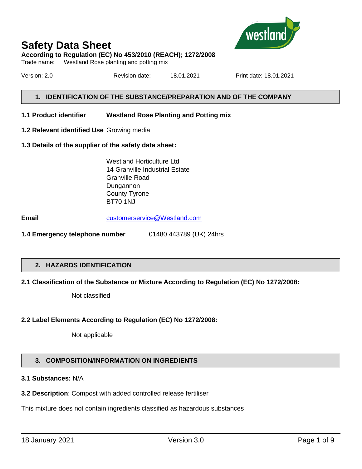

## **According to Regulation (EC) No 453/2010 (REACH); 1272/2008**

Trade name: Westland Rose planting and potting mix

Version: 2.0 Revision date: 18.01.2021 Print date: 18.01.2021

# **1. IDENTIFICATION OF THE SUBSTANCE/PREPARATION AND OF THE COMPANY**

### **1.1 Product identifier Westland Rose Planting and Potting mix**

**1.2 Relevant identified Use** Growing media

### **1.3 Details of the supplier of the safety data sheet:**

Westland Horticulture Ltd 14 Granville Industrial Estate Granville Road Dungannon County Tyrone BT70 1NJ

**Email** [customerservice@Westland.com](mailto:customerservice@Westland.com)

**1.4 Emergency telephone number** 01480 443789 (UK) 24hrs

## **2. HAZARDS IDENTIFICATION**

## **2.1 Classification of the Substance or Mixture According to Regulation (EC) No 1272/2008:**

Not classified

## **2.2 Label Elements According to Regulation (EC) No 1272/2008:**

Not applicable

# **3. COMPOSITION/INFORMATION ON INGREDIENTS**

# **3.1 Substances:** N/A

## **3.2 Description**: Compost with added controlled release fertiliser

This mixture does not contain ingredients classified as hazardous substances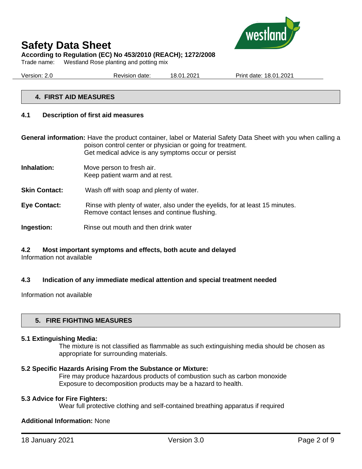

# **Safety Data Sheet According to Regulation (EC) No 453/2010 (REACH); 1272/2008**

Trade name: Westland Rose planting and potting mix

Version: 2.0 Revision date: 18.01.2021 Print date: 18.01.2021

## **4. FIRST AID MEASURES**

### **4.1 Description of first aid measures**

**General information:** Have the product container, label or Material Safety Data Sheet with you when calling a poison control center or physician or going for treatment. Get medical advice is any symptoms occur or persist

- **Inhalation:** Move person to fresh air. Keep patient warm and at rest.
- **Skin Contact:** Wash off with soap and plenty of water.
- **Eye Contact:** Rinse with plenty of water, also under the eyelids, for at least 15 minutes. Remove contact lenses and continue flushing.
- **Ingestion:** Rinse out mouth and then drink water

# **4.2 Most important symptoms and effects, both acute and delayed**

Information not available

## **4.3 Indication of any immediate medical attention and special treatment needed**

Information not available

## **5. FIRE FIGHTING MEASURES**

#### **5.1 Extinguishing Media:**

The mixture is not classified as flammable as such extinguishing media should be chosen as appropriate for surrounding materials.

### **5.2 Specific Hazards Arising From the Substance or Mixture:**

Fire may produce hazardous products of combustion such as carbon monoxide Exposure to decomposition products may be a hazard to health.

### **5.3 Advice for Fire Fighters:**

Wear full protective clothing and self-contained breathing apparatus if required

### **Additional Information:** None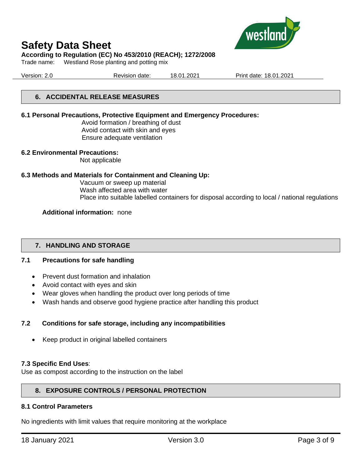

### **According to Regulation (EC) No 453/2010 (REACH); 1272/2008**

Trade name: Westland Rose planting and potting mix

Version: 2.0 Revision date: 18.01.2021 Print date: 18.01.2021

# **6. ACCIDENTAL RELEASE MEASURES**

### **6.1 Personal Precautions, Protective Equipment and Emergency Procedures:**

Avoid formation / breathing of dust Avoid contact with skin and eyes Ensure adequate ventilation

### **6.2 Environmental Precautions:**

Not applicable

### **6.3 Methods and Materials for Containment and Cleaning Up:**

Vacuum or sweep up material Wash affected area with water Place into suitable labelled containers for disposal according to local / national regulations

### **Additional information:** none

## **7. HANDLING AND STORAGE**

## **7.1 Precautions for safe handling**

- Prevent dust formation and inhalation
- Avoid contact with eyes and skin
- Wear gloves when handling the product over long periods of time
- Wash hands and observe good hygiene practice after handling this product

## **7.2 Conditions for safe storage, including any incompatibilities**

• Keep product in original labelled containers

### **7.3 Specific End Uses**:

Use as compost according to the instruction on the label

## **8. EXPOSURE CONTROLS / PERSONAL PROTECTION**

### **8.1 Control Parameters**

No ingredients with limit values that require monitoring at the workplace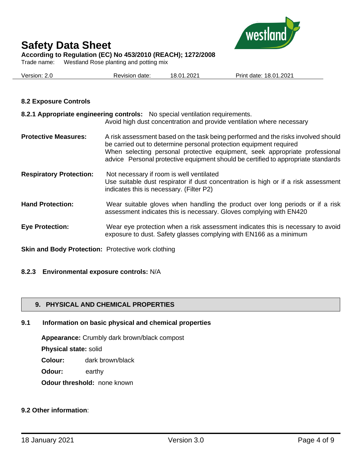

**According to Regulation (EC) No 453/2010 (REACH); 1272/2008**

Trade name: Westland Rose planting and potting mix

| Version: 2.0 | Revision date: | 18.01.2021 | Print date: 18.01.2021 |
|--------------|----------------|------------|------------------------|
|              |                |            |                        |

# **8.2 Exposure Controls**

|                                | 8.2.1 Appropriate engineering controls: No special ventilation requirements.<br>Avoid high dust concentration and provide ventilation where necessary                                                                                                                                                                       |
|--------------------------------|-----------------------------------------------------------------------------------------------------------------------------------------------------------------------------------------------------------------------------------------------------------------------------------------------------------------------------|
| <b>Protective Measures:</b>    | A risk assessment based on the task being performed and the risks involved should<br>be carried out to determine personal protection equipment required<br>When selecting personal protective equipment, seek appropriate professional<br>advice Personal protective equipment should be certified to appropriate standards |
| <b>Respiratory Protection:</b> | Not necessary if room is well ventilated<br>Use suitable dust respirator if dust concentration is high or if a risk assessment<br>indicates this is necessary. (Filter P2)                                                                                                                                                  |
| <b>Hand Protection:</b>        | Wear suitable gloves when handling the product over long periods or if a risk<br>assessment indicates this is necessary. Gloves complying with EN420                                                                                                                                                                        |
| <b>Eye Protection:</b>         | Wear eye protection when a risk assessment indicates this is necessary to avoid<br>exposure to dust. Safety glasses complying with EN166 as a minimum                                                                                                                                                                       |

**Skin and Body Protection:** Protective work clothing

## **8.2.3 Environmental exposure controls:** N/A

# **9. PHYSICAL AND CHEMICAL PROPERTIES**

## **9.1 Information on basic physical and chemical properties**

**Appearance:** Crumbly dark brown/black compost

**Physical state:** solid

**Colour:** dark brown/black

**Odour:** earthy

**Odour threshold:** none known

# **9.2 Other information**: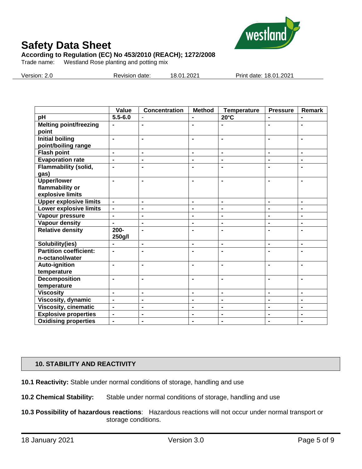

**According to Regulation (EC) No 453/2010 (REACH); 1272/2008**

Trade name: Westland Rose planting and potting mix

Version: 2.0 Revision date: 18.01.2021 Print date: 18.01.2021

|                                               | Value                        | <b>Concentration</b> | <b>Method</b>  | <b>Temperature</b> | <b>Pressure</b> | Remark         |
|-----------------------------------------------|------------------------------|----------------------|----------------|--------------------|-----------------|----------------|
| pH                                            | $5.5 - 6.0$                  |                      |                | $20^{\circ}$ C     |                 |                |
| <b>Melting point/freezing</b><br>point        | $\blacksquare$               | $\blacksquare$       | $\blacksquare$ |                    | $\blacksquare$  | $\blacksquare$ |
| <b>Initial boiling</b><br>point/boiling range | $\blacksquare$               | $\blacksquare$       | $\blacksquare$ | $\blacksquare$     | $\blacksquare$  | $\blacksquare$ |
| <b>Flash point</b>                            | $\blacksquare$               | $\blacksquare$       | $\blacksquare$ | $\blacksquare$     | $\blacksquare$  | $\blacksquare$ |
| <b>Evaporation rate</b>                       | $\blacksquare$               | $\blacksquare$       | $\blacksquare$ | $\blacksquare$     | $\blacksquare$  | $\blacksquare$ |
| <b>Flammability (solid,</b><br>gas)           | $\blacksquare$               | $\blacksquare$       | $\blacksquare$ | $\blacksquare$     | ۰               | $\blacksquare$ |
| <b>Upper/lower</b>                            | $\blacksquare$               | $\blacksquare$       | $\blacksquare$ | $\blacksquare$     | $\blacksquare$  | $\blacksquare$ |
| flammability or<br>explosive limits           |                              |                      |                |                    |                 |                |
| <b>Upper explosive limits</b>                 | $\overline{a}$               | $\blacksquare$       | $\blacksquare$ | $\blacksquare$     | $\blacksquare$  | $\blacksquare$ |
| Lower explosive limits                        | $\overline{\phantom{0}}$     | $\blacksquare$       | $\blacksquare$ | $\blacksquare$     | $\blacksquare$  | $\blacksquare$ |
| Vapour pressure                               | $\blacksquare$               | $\blacksquare$       | $\blacksquare$ | $\blacksquare$     | $\blacksquare$  | $\blacksquare$ |
| <b>Vapour density</b>                         | $\blacksquare$               | $\blacksquare$       | $\blacksquare$ | $\blacksquare$     | $\blacksquare$  | $\blacksquare$ |
| <b>Relative density</b>                       | $200 -$                      | $\blacksquare$       | $\blacksquare$ | $\blacksquare$     | $\blacksquare$  | $\blacksquare$ |
|                                               | 250g/l                       |                      |                |                    |                 |                |
| Solubility(ies)                               |                              | $\blacksquare$       | $\blacksquare$ | $\blacksquare$     | $\blacksquare$  | $\blacksquare$ |
| <b>Partition coefficient:</b>                 | $\blacksquare$               | $\blacksquare$       | $\blacksquare$ | $\blacksquare$     |                 |                |
| n-octanol/water                               |                              |                      |                |                    |                 |                |
| <b>Auto-ignition</b>                          | $\qquad \qquad \blacksquare$ | $\blacksquare$       | $\blacksquare$ | $\blacksquare$     | $\blacksquare$  | $\blacksquare$ |
| temperature                                   |                              |                      |                |                    |                 |                |
| <b>Decomposition</b>                          | $\blacksquare$               |                      | $\blacksquare$ | $\blacksquare$     | $\blacksquare$  |                |
| temperature                                   |                              |                      |                |                    |                 |                |
| <b>Viscosity</b>                              | $\blacksquare$               | $\blacksquare$       | $\blacksquare$ | $\blacksquare$     | $\blacksquare$  | $\blacksquare$ |
| Viscosity, dynamic                            | $\blacksquare$               | $\blacksquare$       | $\blacksquare$ | $\blacksquare$     | $\blacksquare$  | $\blacksquare$ |
| <b>Viscosity, cinematic</b>                   | $\blacksquare$               | $\blacksquare$       | $\blacksquare$ | $\blacksquare$     | $\blacksquare$  | $\blacksquare$ |
| <b>Explosive properties</b>                   | $\blacksquare$               | $\blacksquare$       | $\blacksquare$ | $\blacksquare$     | $\blacksquare$  | $\blacksquare$ |
| <b>Oxidising properties</b>                   | $\blacksquare$               | $\blacksquare$       | $\blacksquare$ | $\blacksquare$     | $\blacksquare$  | $\blacksquare$ |

## **10. STABILITY AND REACTIVITY**

**10.1 Reactivity:** Stable under normal conditions of storage, handling and use

**10.2 Chemical Stability:** Stable under normal conditions of storage, handling and use

**10.3 Possibility of hazardous reactions**: Hazardous reactions will not occur under normal transport or storage conditions.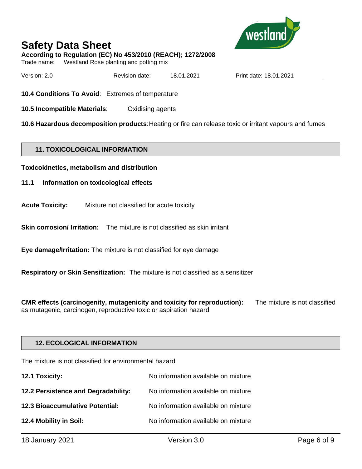

**According to Regulation (EC) No 453/2010 (REACH); 1272/2008**

Trade name: Westland Rose planting and potting mix

| Version: | Revision date: | 18.01.2021 | date: 18.01.2021 :<br>Print⊣ |
|----------|----------------|------------|------------------------------|
|          |                |            |                              |

**10.4 Conditions To Avoid**: Extremes of temperature

**10.5 Incompatible Materials**: Oxidising agents

**10.6 Hazardous decomposition products**:Heating or fire can release toxic or irritant vapours and fumes

## **11. TOXICOLOGICAL INFORMATION**

**Toxicokinetics, metabolism and distribution**

- **11.1 Information on toxicological effects**
- **Acute Toxicity:** Mixture not classified for acute toxicity

**Skin corrosion/ Irritation:** The mixture is not classified as skin irritant

**Eye damage/Irritation:** The mixture is not classified for eye damage

**Respiratory or Skin Sensitization:** The mixture is not classified as a sensitizer

**CMR effects (carcinogenity, mutagenicity and toxicity for reproduction):** The mixture is not classified as mutagenic, carcinogen, reproductive toxic or aspiration hazard

## **12. ECOLOGICAL INFORMATION**

The mixture is not classified for environmental hazard

| 12.1 Toxicity:                      | No information available on mixture |
|-------------------------------------|-------------------------------------|
| 12.2 Persistence and Degradability: | No information available on mixture |
| 12.3 Bioaccumulative Potential:     | No information available on mixture |
| 12.4 Mobility in Soil:              | No information available on mixture |
|                                     |                                     |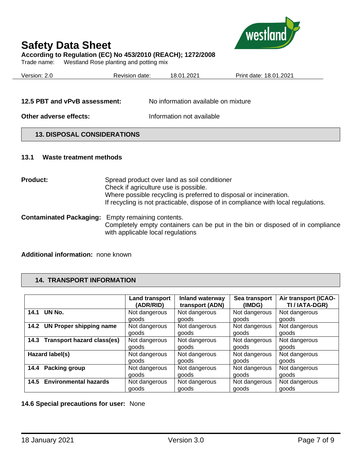

# **According to Regulation (EC) No 453/2010 (REACH); 1272/2008**

Trade name: Westland Rose planting and potting mix

| Version: 2.0 | Revision date: | 18.01.2021 | Print date: 18.01.2021 |
|--------------|----------------|------------|------------------------|
|              |                |            |                        |
|              |                |            |                        |

**Other adverse effects:** Information not available

## **13. DISPOSAL CONSIDERATIONS**

### **13.1 Waste treatment methods**

**Product:** Spread product over land as soil conditioner Check if agriculture use is possible. Where possible recycling is preferred to disposal or incineration. If recycling is not practicable, dispose of in compliance with local regulations.

**Contaminated Packaging:** Empty remaining contents. Completely empty containers can be put in the bin or disposed of in compliance with applicable local regulations

# **Additional information:** none known

# **14. TRANSPORT INFORMATION**

|                                 | <b>Land transport</b> | Inland waterway | Sea transport | Air transport (ICAO- |
|---------------------------------|-----------------------|-----------------|---------------|----------------------|
|                                 | (ADR/RID)             | transport (ADN) | (IMDG)        | TI / IATA-DGR)       |
| UN No.                          | Not dangerous         | Not dangerous   | Not dangerous | Not dangerous        |
| 14.1                            | goods                 | goods           | goods         | goods                |
| <b>UN Proper shipping name</b>  | Not dangerous         | Not dangerous   | Not dangerous | Not dangerous        |
| 14.2                            | goods                 | goods           | goods         | goods                |
| 14.3 Transport hazard class(es) | Not dangerous         | Not dangerous   | Not dangerous | Not dangerous        |
|                                 | goods                 | aoods           | aoods         | aoods                |
| Hazard label(s)                 | Not dangerous         | Not dangerous   | Not dangerous | Not dangerous        |
|                                 | goods                 | goods           | goods         | goods                |
| Packing group                   | Not dangerous         | Not dangerous   | Not dangerous | Not dangerous        |
| 14.4                            | goods                 | goods           | goods         | goods                |
| <b>Environmental hazards</b>    | Not dangerous         | Not dangerous   | Not dangerous | Not dangerous        |
| 14.5                            | goods                 | goods           | goods         | goods                |

**14.6 Special precautions for user:** None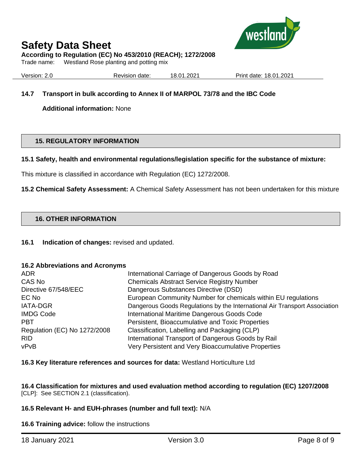

# **According to Regulation (EC) No 453/2010 (REACH); 1272/2008**

Trade name: Westland Rose planting and potting mix

Version: 2.0 Revision date: 18.01.2021 Print date: 18.01.2021

# **14.7 Transport in bulk according to Annex II of MARPOL 73/78 and the IBC Code**

**Additional information:** None

## **15. REGULATORY INFORMATION**

### **15.1 Safety, health and environmental regulations/legislation specific for the substance of mixture:**

This mixture is classified in accordance with Regulation (EC) 1272/2008.

**15.2 Chemical Safety Assessment:** A Chemical Safety Assessment has not been undertaken for this mixture

### **16. OTHER INFORMATION**

**16.1 Indication of changes:** revised and updated.

### **16.2 Abbreviations and Acronyms**

| ADR.                         | International Carriage of Dangerous Goods by Road                          |
|------------------------------|----------------------------------------------------------------------------|
| CAS No                       | <b>Chemicals Abstract Service Registry Number</b>                          |
| Directive 67/548/EEC         | Dangerous Substances Directive (DSD)                                       |
| EC No                        | European Community Number for chemicals within EU regulations              |
| <b>IATA-DGR</b>              | Dangerous Goods Regulations by the International Air Transport Association |
| <b>IMDG Code</b>             | International Maritime Dangerous Goods Code                                |
| <b>PBT</b>                   | Persistent, Bioaccumulative and Toxic Properties                           |
| Regulation (EC) No 1272/2008 | Classification, Labelling and Packaging (CLP)                              |
| RID.                         | International Transport of Dangerous Goods by Rail                         |
| vPvB                         | Very Persistent and Very Bioaccumulative Properties                        |

### **16.3 Key literature references and sources for data:** Westland Horticulture Ltd

**16.4 Classification for mixtures and used evaluation method according to regulation (EC) 1207/2008**  [CLP]: See SECTION 2.1 (classification).

## **16.5 Relevant H- and EUH-phrases (number and full text):** N/A

**16.6 Training advice:** follow the instructions